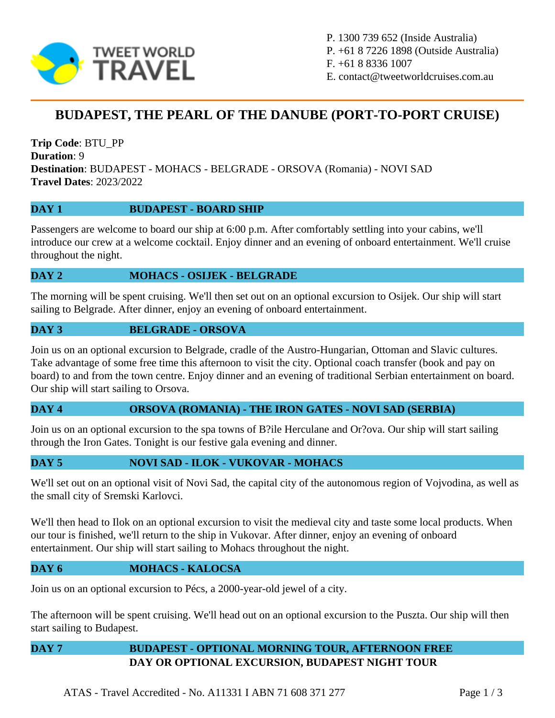

P. 1300 739 652 (Inside Australia) P. +61 8 7226 1898 (Outside Australia) F. +61 8 8336 1007 E. contact@tweetworldcruises.com.au

# **BUDAPEST, THE PEARL OF THE DANUBE (PORT-TO-PORT CRUISE)**

**Trip Code**: BTU\_PP **Duration**: 9 **Destination**: BUDAPEST - MOHACS - BELGRADE - ORSOVA (Romania) - NOVI SAD **Travel Dates**: 2023/2022

#### **DAY 1 BUDAPEST - BOARD SHIP**

Passengers are welcome to board our ship at 6:00 p.m. After comfortably settling into your cabins, we'll introduce our crew at a welcome cocktail. Enjoy dinner and an evening of onboard entertainment. We'll cruise throughout the night.

#### **DAY 2 MOHACS - OSIJEK - BELGRADE**

The morning will be spent cruising. We'll then set out on an optional excursion to Osijek. Our ship will start sailing to Belgrade. After dinner, enjoy an evening of onboard entertainment.

#### **DAY 3 BELGRADE - ORSOVA**

Join us on an optional excursion to Belgrade, cradle of the Austro-Hungarian, Ottoman and Slavic cultures. Take advantage of some free time this afternoon to visit the city. Optional coach transfer (book and pay on board) to and from the town centre. Enjoy dinner and an evening of traditional Serbian entertainment on board. Our ship will start sailing to Orsova.

#### **DAY 4 ORSOVA (ROMANIA) - THE IRON GATES - NOVI SAD (SERBIA)**

Join us on an optional excursion to the spa towns of B?ile Herculane and Or?ova. Our ship will start sailing through the Iron Gates. Tonight is our festive gala evening and dinner.

#### **DAY 5 NOVI SAD - ILOK - VUKOVAR - MOHACS**

We'll set out on an optional visit of Novi Sad, the capital city of the autonomous region of Vojvodina, as well as the small city of Sremski Karlovci.

We'll then head to Ilok on an optional excursion to visit the medieval city and taste some local products. When our tour is finished, we'll return to the ship in Vukovar. After dinner, enjoy an evening of onboard entertainment. Our ship will start sailing to Mohacs throughout the night.

#### **DAY 6 MOHACS - KALOCSA**

Join us on an optional excursion to Pécs, a 2000-year-old jewel of a city.

The afternoon will be spent cruising. We'll head out on an optional excursion to the Puszta. Our ship will then start sailing to Budapest.

## **DAY 7 BUDAPEST - OPTIONAL MORNING TOUR, AFTERNOON FREE DAY OR OPTIONAL EXCURSION, BUDAPEST NIGHT TOUR**

ATAS - Travel Accredited - No. A11331 I ABN 71 608 371 277 Page 1 / 3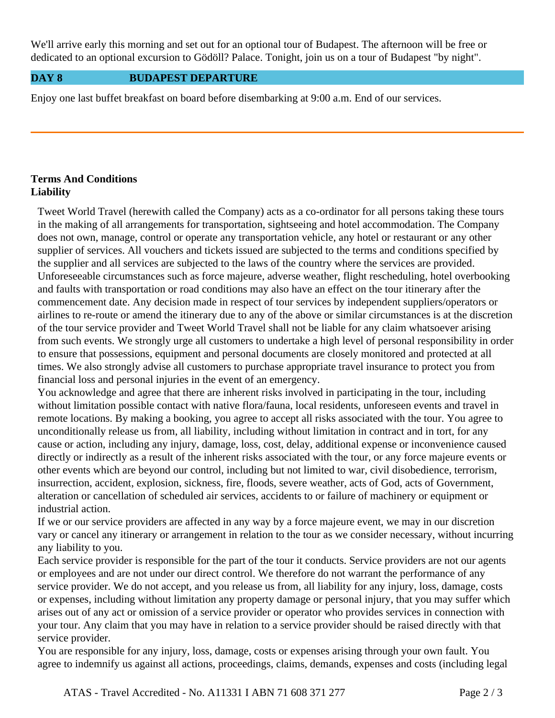We'll arrive early this morning and set out for an optional tour of Budapest. The afternoon will be free or dedicated to an optional excursion to Gödöll? Palace. Tonight, join us on a tour of Budapest "by night".

#### **DAY 8 BUDAPEST DEPARTURE**

Enjoy one last buffet breakfast on board before disembarking at 9:00 a.m. End of our services.

### **Terms And Conditions Liability**

Tweet World Travel (herewith called the Company) acts as a co-ordinator for all persons taking these tours in the making of all arrangements for transportation, sightseeing and hotel accommodation. The Company does not own, manage, control or operate any transportation vehicle, any hotel or restaurant or any other supplier of services. All vouchers and tickets issued are subjected to the terms and conditions specified by the supplier and all services are subjected to the laws of the country where the services are provided. Unforeseeable circumstances such as force majeure, adverse weather, flight rescheduling, hotel overbooking and faults with transportation or road conditions may also have an effect on the tour itinerary after the commencement date. Any decision made in respect of tour services by independent suppliers/operators or airlines to re-route or amend the itinerary due to any of the above or similar circumstances is at the discretion of the tour service provider and Tweet World Travel shall not be liable for any claim whatsoever arising from such events. We strongly urge all customers to undertake a high level of personal responsibility in order to ensure that possessions, equipment and personal documents are closely monitored and protected at all times. We also strongly advise all customers to purchase appropriate travel insurance to protect you from financial loss and personal injuries in the event of an emergency.

You acknowledge and agree that there are inherent risks involved in participating in the tour, including without limitation possible contact with native flora/fauna, local residents, unforeseen events and travel in remote locations. By making a booking, you agree to accept all risks associated with the tour. You agree to unconditionally release us from, all liability, including without limitation in contract and in tort, for any cause or action, including any injury, damage, loss, cost, delay, additional expense or inconvenience caused directly or indirectly as a result of the inherent risks associated with the tour, or any force majeure events or other events which are beyond our control, including but not limited to war, civil disobedience, terrorism, insurrection, accident, explosion, sickness, fire, floods, severe weather, acts of God, acts of Government, alteration or cancellation of scheduled air services, accidents to or failure of machinery or equipment or industrial action.

If we or our service providers are affected in any way by a force majeure event, we may in our discretion vary or cancel any itinerary or arrangement in relation to the tour as we consider necessary, without incurring any liability to you.

Each service provider is responsible for the part of the tour it conducts. Service providers are not our agents or employees and are not under our direct control. We therefore do not warrant the performance of any service provider. We do not accept, and you release us from, all liability for any injury, loss, damage, costs or expenses, including without limitation any property damage or personal injury, that you may suffer which arises out of any act or omission of a service provider or operator who provides services in connection with your tour. Any claim that you may have in relation to a service provider should be raised directly with that service provider.

You are responsible for any injury, loss, damage, costs or expenses arising through your own fault. You agree to indemnify us against all actions, proceedings, claims, demands, expenses and costs (including legal